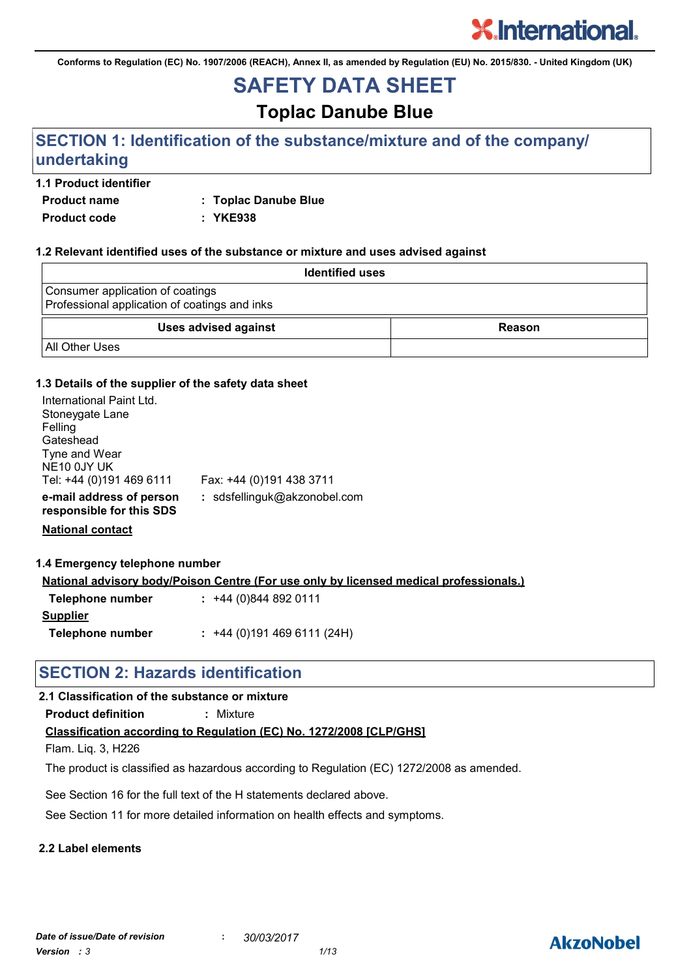**Conforms to Regulation (EC) No. 1907/2006 (REACH), Annex II, as amended by Regulation (EU) No. 2015/830. - United Kingdom (UK)**

## **SAFETY DATA SHEET**

### **Toplac Danube Blue**

### **SECTION 1: Identification of the substance/mixture and of the company/ undertaking**

#### **1.1 Product identifier**

**Product name : Toplac Danube Blue**

**Product code : YKE938**

#### **1.2 Relevant identified uses of the substance or mixture and uses advised against**

| <b>Identified uses</b>                                                            |               |
|-----------------------------------------------------------------------------------|---------------|
| Consumer application of coatings<br>Professional application of coatings and inks |               |
| <b>Uses advised against</b>                                                       | <b>Reason</b> |
| <b>All Other Uses</b>                                                             |               |

#### **1.3 Details of the supplier of the safety data sheet**

| International Paint Ltd.<br>Stoneygate Lane<br>Felling<br>Gateshead<br>Tyne and Wear<br>NE10 0JY UK<br>Tel: +44 (0)191 469 6111 | Fax: +44 (0)191 438 3711     |
|---------------------------------------------------------------------------------------------------------------------------------|------------------------------|
| e-mail address of person<br>responsible for this SDS                                                                            | : sdsfellinguk@akzonobel.com |

**National contact**

#### **1.4 Emergency telephone number**

**National advisory body/Poison Centre (For use only by licensed medical professionals.)**

| Telephone number | $: +44(0)8448920111$      |
|------------------|---------------------------|
| <b>Supplier</b>  |                           |
| Telephone number | $: +44(0)1914696111(24H)$ |

### **SECTION 2: Hazards identification**

#### **2.1 Classification of the substance or mixture**

**Product definition :** Mixture

#### **Classification according to Regulation (EC) No. 1272/2008 [CLP/GHS]**

Flam. Liq. 3, H226

The product is classified as hazardous according to Regulation (EC) 1272/2008 as amended.

See Section 16 for the full text of the H statements declared above.

See Section 11 for more detailed information on health effects and symptoms.

#### **2.2 Label elements**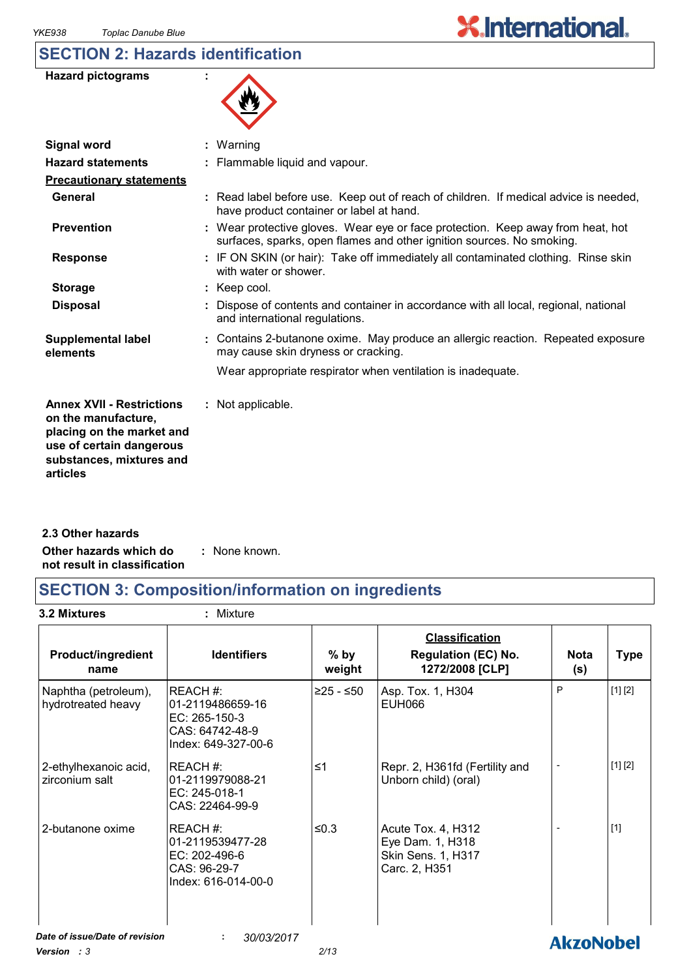### **SECTION 2: Hazards identification**

| 火 |
|---|
|---|

 $\overline{\phantom{a}}$ 

| <b>Signal word</b>                                                                                                                                       | : Warning                                                                                                                                                |
|----------------------------------------------------------------------------------------------------------------------------------------------------------|----------------------------------------------------------------------------------------------------------------------------------------------------------|
| <b>Hazard statements</b>                                                                                                                                 | : Flammable liquid and vapour.                                                                                                                           |
| <b>Precautionary statements</b>                                                                                                                          |                                                                                                                                                          |
| General                                                                                                                                                  | : Read label before use. Keep out of reach of children. If medical advice is needed,<br>have product container or label at hand.                         |
| <b>Prevention</b>                                                                                                                                        | : Wear protective gloves. Wear eye or face protection. Keep away from heat, hot<br>surfaces, sparks, open flames and other ignition sources. No smoking. |
| <b>Response</b>                                                                                                                                          | : IF ON SKIN (or hair): Take off immediately all contaminated clothing. Rinse skin<br>with water or shower.                                              |
| <b>Storage</b>                                                                                                                                           | $:$ Keep cool.                                                                                                                                           |
| <b>Disposal</b>                                                                                                                                          | : Dispose of contents and container in accordance with all local, regional, national<br>and international regulations.                                   |
| <b>Supplemental label</b><br>elements                                                                                                                    | : Contains 2-butanone oxime. May produce an allergic reaction. Repeated exposure<br>may cause skin dryness or cracking.                                  |
|                                                                                                                                                          | Wear appropriate respirator when ventilation is inadequate.                                                                                              |
| <b>Annex XVII - Restrictions</b><br>on the manufacture,<br>placing on the market and<br>use of certain dangerous<br>substances, mixtures and<br>articles | : Not applicable.                                                                                                                                        |
|                                                                                                                                                          |                                                                                                                                                          |

**Other hazards which do : not result in classification** : None known. **2.3 Other hazards**

### **SECTION 3: Composition/information on ingredients**

**3.2 Mixtures :** Mixture

| <b>Product/ingredient</b><br>name          | <b>Identifiers</b>                                                                      | $%$ by<br>weight | <b>Classification</b><br><b>Regulation (EC) No.</b><br>1272/2008 [CLP]        | <b>Nota</b><br>(s) | <b>Type</b> |
|--------------------------------------------|-----------------------------------------------------------------------------------------|------------------|-------------------------------------------------------------------------------|--------------------|-------------|
| Naphtha (petroleum),<br>hydrotreated heavy | REACH#:<br>l01-2119486659-16<br>EC: 265-150-3<br>CAS: 64742-48-9<br>Index: 649-327-00-6 | ≥25 - ≤50        | Asp. Tox. 1, H304<br><b>EUH066</b>                                            | P                  | [1] [2]     |
| 2-ethylhexanoic acid,<br>zirconium salt    | REACH#:<br>01-2119979088-21<br>EC: 245-018-1<br>CAS: 22464-99-9                         | $\leq 1$         | Repr. 2, H361fd (Fertility and<br>Unborn child) (oral)                        |                    | [1] [2]     |
| 2-butanone oxime                           | REACH#:<br>01-2119539477-28<br>EC: 202-496-6<br>CAS: 96-29-7<br>Index: 616-014-00-0     | ≤ $0.3$          | Acute Tox. 4, H312<br>Eye Dam. 1, H318<br>Skin Sens. 1, H317<br>Carc. 2, H351 |                    | $[1]$       |
| Date of issue/Date of revision             | ÷<br>30/03/2017                                                                         |                  |                                                                               | <b>AkzoNobel</b>   |             |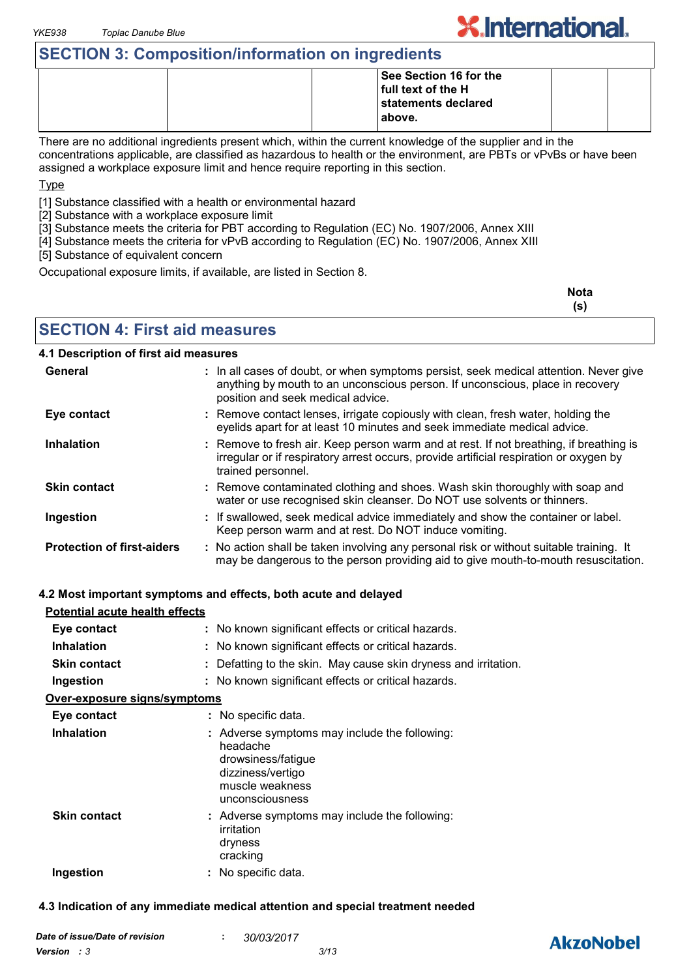### **SECTION 3: Composition/information on ingredients**

|  | See Section 16 for the |  |
|--|------------------------|--|
|  | full text of the H     |  |
|  | statements declared    |  |
|  | above.                 |  |
|  |                        |  |

There are no additional ingredients present which, within the current knowledge of the supplier and in the concentrations applicable, are classified as hazardous to health or the environment, are PBTs or vPvBs or have been assigned a workplace exposure limit and hence require reporting in this section.

Type

[1] Substance classified with a health or environmental hazard

[2] Substance with a workplace exposure limit

[3] Substance meets the criteria for PBT according to Regulation (EC) No. 1907/2006, Annex XIII

[4] Substance meets the criteria for vPvB according to Regulation (EC) No. 1907/2006, Annex XIII

[5] Substance of equivalent concern

Occupational exposure limits, if available, are listed in Section 8.

| <b>Nota</b> |
|-------------|
| (s)         |

**X.International.** 

**SECTION 4: First aid measures**

#### **4.1 Description of first aid measures**

| General                           | : In all cases of doubt, or when symptoms persist, seek medical attention. Never give<br>anything by mouth to an unconscious person. If unconscious, place in recovery<br>position and seek medical advice. |
|-----------------------------------|-------------------------------------------------------------------------------------------------------------------------------------------------------------------------------------------------------------|
| Eye contact                       | : Remove contact lenses, irrigate copiously with clean, fresh water, holding the<br>eyelids apart for at least 10 minutes and seek immediate medical advice.                                                |
| <b>Inhalation</b>                 | : Remove to fresh air. Keep person warm and at rest. If not breathing, if breathing is<br>irregular or if respiratory arrest occurs, provide artificial respiration or oxygen by<br>trained personnel.      |
| <b>Skin contact</b>               | : Remove contaminated clothing and shoes. Wash skin thoroughly with soap and<br>water or use recognised skin cleanser. Do NOT use solvents or thinners.                                                     |
| Ingestion                         | : If swallowed, seek medical advice immediately and show the container or label.<br>Keep person warm and at rest. Do NOT induce vomiting.                                                                   |
| <b>Protection of first-aiders</b> | : No action shall be taken involving any personal risk or without suitable training. It<br>may be dangerous to the person providing aid to give mouth-to-mouth resuscitation.                               |

#### **4.2 Most important symptoms and effects, both acute and delayed**

| Potential acute health effects |                                                                                                                                            |
|--------------------------------|--------------------------------------------------------------------------------------------------------------------------------------------|
| Eye contact                    | : No known significant effects or critical hazards.                                                                                        |
| <b>Inhalation</b>              | : No known significant effects or critical hazards.                                                                                        |
| <b>Skin contact</b>            | : Defatting to the skin. May cause skin dryness and irritation.                                                                            |
| Ingestion                      | : No known significant effects or critical hazards.                                                                                        |
| Over-exposure signs/symptoms   |                                                                                                                                            |
| Eye contact                    | : No specific data.                                                                                                                        |
| <b>Inhalation</b>              | : Adverse symptoms may include the following:<br>headache<br>drowsiness/fatigue<br>dizziness/vertigo<br>muscle weakness<br>unconsciousness |
| <b>Skin contact</b>            | : Adverse symptoms may include the following:<br>irritation<br>dryness<br>cracking                                                         |
| Ingestion                      | : No specific data.                                                                                                                        |

#### **4.3 Indication of any immediate medical attention and special treatment needed**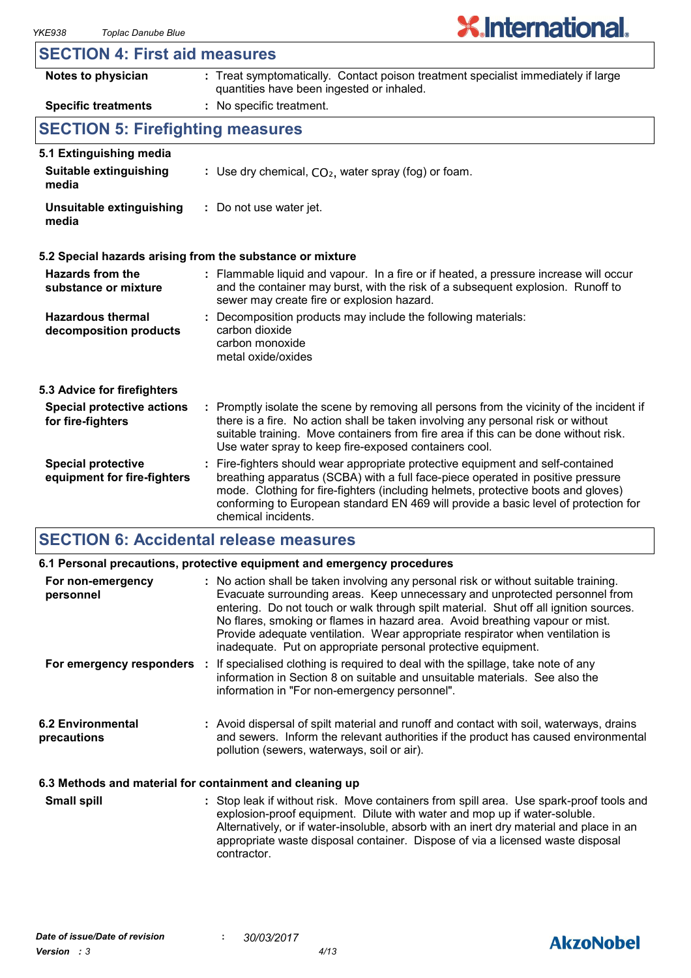## **X.International.**

#### **SECTION 4: First aid measures**

| Notes to physician                                       | : Treat symptomatically. Contact poison treatment specialist immediately if large<br>quantities have been ingested or inhaled.                                                                                                                                                                                                                                        |
|----------------------------------------------------------|-----------------------------------------------------------------------------------------------------------------------------------------------------------------------------------------------------------------------------------------------------------------------------------------------------------------------------------------------------------------------|
| <b>Specific treatments</b>                               | : No specific treatment.                                                                                                                                                                                                                                                                                                                                              |
| <b>SECTION 5: Firefighting measures</b>                  |                                                                                                                                                                                                                                                                                                                                                                       |
| 5.1 Extinguishing media                                  |                                                                                                                                                                                                                                                                                                                                                                       |
| Suitable extinguishing<br>media                          | : Use dry chemical, $CO2$ , water spray (fog) or foam.                                                                                                                                                                                                                                                                                                                |
| Unsuitable extinguishing<br>media                        | : Do not use water jet.                                                                                                                                                                                                                                                                                                                                               |
|                                                          | 5.2 Special hazards arising from the substance or mixture                                                                                                                                                                                                                                                                                                             |
| <b>Hazards from the</b><br>substance or mixture          | : Flammable liquid and vapour. In a fire or if heated, a pressure increase will occur<br>and the container may burst, with the risk of a subsequent explosion. Runoff to<br>sewer may create fire or explosion hazard.                                                                                                                                                |
| <b>Hazardous thermal</b><br>decomposition products       | : Decomposition products may include the following materials:<br>carbon dioxide<br>carbon monoxide<br>metal oxide/oxides                                                                                                                                                                                                                                              |
| 5.3 Advice for firefighters                              |                                                                                                                                                                                                                                                                                                                                                                       |
| <b>Special protective actions</b><br>for fire-fighters   | : Promptly isolate the scene by removing all persons from the vicinity of the incident if<br>there is a fire. No action shall be taken involving any personal risk or without<br>suitable training. Move containers from fire area if this can be done without risk.<br>Use water spray to keep fire-exposed containers cool.                                         |
| <b>Special protective</b><br>equipment for fire-fighters | : Fire-fighters should wear appropriate protective equipment and self-contained<br>breathing apparatus (SCBA) with a full face-piece operated in positive pressure<br>mode. Clothing for fire-fighters (including helmets, protective boots and gloves)<br>conforming to European standard EN 469 will provide a basic level of protection for<br>chemical incidents. |

### **SECTION 6: Accidental release measures**

|                                                          | 6.1 Personal precautions, protective equipment and emergency procedures                                                                                                                                                                                                                                                                                                                                                                                                                        |
|----------------------------------------------------------|------------------------------------------------------------------------------------------------------------------------------------------------------------------------------------------------------------------------------------------------------------------------------------------------------------------------------------------------------------------------------------------------------------------------------------------------------------------------------------------------|
| For non-emergency<br>personnel                           | : No action shall be taken involving any personal risk or without suitable training.<br>Evacuate surrounding areas. Keep unnecessary and unprotected personnel from<br>entering. Do not touch or walk through spilt material. Shut off all ignition sources.<br>No flares, smoking or flames in hazard area. Avoid breathing vapour or mist.<br>Provide adequate ventilation. Wear appropriate respirator when ventilation is<br>inadequate. Put on appropriate personal protective equipment. |
|                                                          | For emergency responders : If specialised clothing is required to deal with the spillage, take note of any<br>information in Section 8 on suitable and unsuitable materials. See also the<br>information in "For non-emergency personnel".                                                                                                                                                                                                                                                     |
| <b>6.2 Environmental</b><br>precautions                  | : Avoid dispersal of spilt material and runoff and contact with soil, waterways, drains<br>and sewers. Inform the relevant authorities if the product has caused environmental<br>pollution (sewers, waterways, soil or air).                                                                                                                                                                                                                                                                  |
| 6.3 Methods and material for containment and cleaning up |                                                                                                                                                                                                                                                                                                                                                                                                                                                                                                |

Stop leak if without risk. Move containers from spill area. Use spark-proof tools and explosion-proof equipment. Dilute with water and mop up if water-soluble. Alternatively, or if water-insoluble, absorb with an inert dry material and place in an appropriate waste disposal container. Dispose of via a licensed waste disposal contractor. **Small spill :**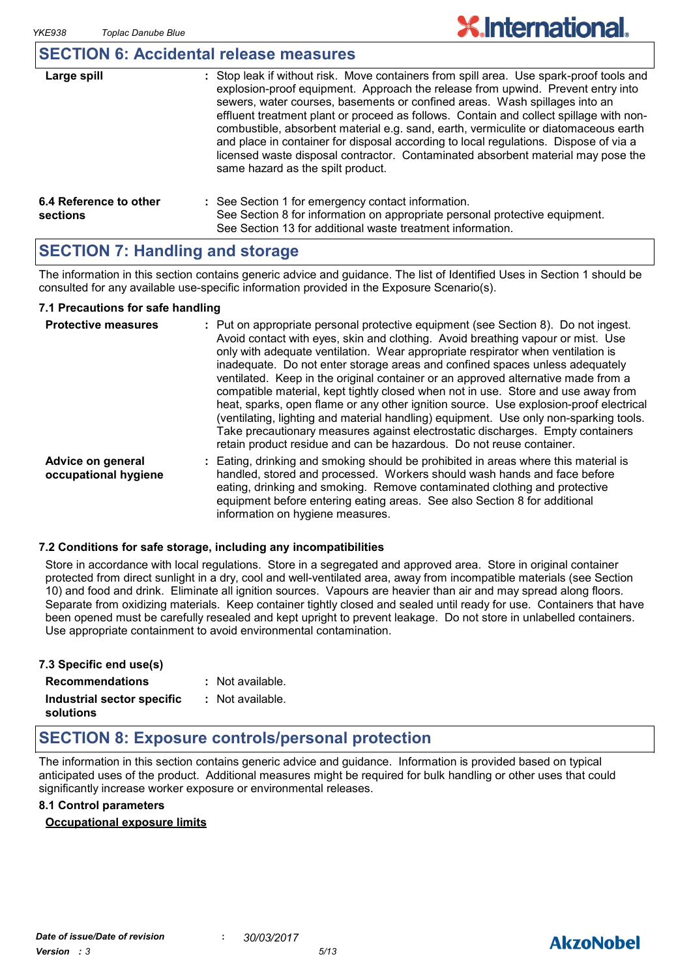#### **SECTION 6: Accidental release measures**

| Large spill                        | : Stop leak if without risk. Move containers from spill area. Use spark-proof tools and<br>explosion-proof equipment. Approach the release from upwind. Prevent entry into<br>sewers, water courses, basements or confined areas. Wash spillages into an<br>effluent treatment plant or proceed as follows. Contain and collect spillage with non-<br>combustible, absorbent material e.g. sand, earth, vermiculite or diatomaceous earth<br>and place in container for disposal according to local regulations. Dispose of via a<br>licensed waste disposal contractor. Contaminated absorbent material may pose the<br>same hazard as the spilt product. |
|------------------------------------|------------------------------------------------------------------------------------------------------------------------------------------------------------------------------------------------------------------------------------------------------------------------------------------------------------------------------------------------------------------------------------------------------------------------------------------------------------------------------------------------------------------------------------------------------------------------------------------------------------------------------------------------------------|
| 6.4 Reference to other<br>sections | : See Section 1 for emergency contact information.<br>See Section 8 for information on appropriate personal protective equipment.<br>See Section 13 for additional waste treatment information.                                                                                                                                                                                                                                                                                                                                                                                                                                                            |

### **SECTION 7: Handling and storage**

The information in this section contains generic advice and guidance. The list of Identified Uses in Section 1 should be consulted for any available use-specific information provided in the Exposure Scenario(s).

#### **7.1 Precautions for safe handling**

| <b>Protective measures</b>                | : Put on appropriate personal protective equipment (see Section 8). Do not ingest.<br>Avoid contact with eyes, skin and clothing. Avoid breathing vapour or mist. Use<br>only with adequate ventilation. Wear appropriate respirator when ventilation is<br>inadequate. Do not enter storage areas and confined spaces unless adequately<br>ventilated. Keep in the original container or an approved alternative made from a<br>compatible material, kept tightly closed when not in use. Store and use away from<br>heat, sparks, open flame or any other ignition source. Use explosion-proof electrical<br>(ventilating, lighting and material handling) equipment. Use only non-sparking tools.<br>Take precautionary measures against electrostatic discharges. Empty containers<br>retain product residue and can be hazardous. Do not reuse container. |
|-------------------------------------------|----------------------------------------------------------------------------------------------------------------------------------------------------------------------------------------------------------------------------------------------------------------------------------------------------------------------------------------------------------------------------------------------------------------------------------------------------------------------------------------------------------------------------------------------------------------------------------------------------------------------------------------------------------------------------------------------------------------------------------------------------------------------------------------------------------------------------------------------------------------|
| Advice on general<br>occupational hygiene | : Eating, drinking and smoking should be prohibited in areas where this material is<br>handled, stored and processed. Workers should wash hands and face before<br>eating, drinking and smoking. Remove contaminated clothing and protective<br>equipment before entering eating areas. See also Section 8 for additional<br>information on hygiene measures.                                                                                                                                                                                                                                                                                                                                                                                                                                                                                                  |

#### **7.2 Conditions for safe storage, including any incompatibilities**

Store in accordance with local regulations. Store in a segregated and approved area. Store in original container protected from direct sunlight in a dry, cool and well-ventilated area, away from incompatible materials (see Section 10) and food and drink. Eliminate all ignition sources. Vapours are heavier than air and may spread along floors. Separate from oxidizing materials. Keep container tightly closed and sealed until ready for use. Containers that have been opened must be carefully resealed and kept upright to prevent leakage. Do not store in unlabelled containers. Use appropriate containment to avoid environmental contamination.

| 7.3 Specific end use(s)    |                  |
|----------------------------|------------------|
| <b>Recommendations</b>     | : Not available. |
| Industrial sector specific | : Not available. |
| solutions                  |                  |

### **SECTION 8: Exposure controls/personal protection**

The information in this section contains generic advice and guidance. Information is provided based on typical anticipated uses of the product. Additional measures might be required for bulk handling or other uses that could significantly increase worker exposure or environmental releases.

#### **8.1 Control parameters**

#### **Occupational exposure limits**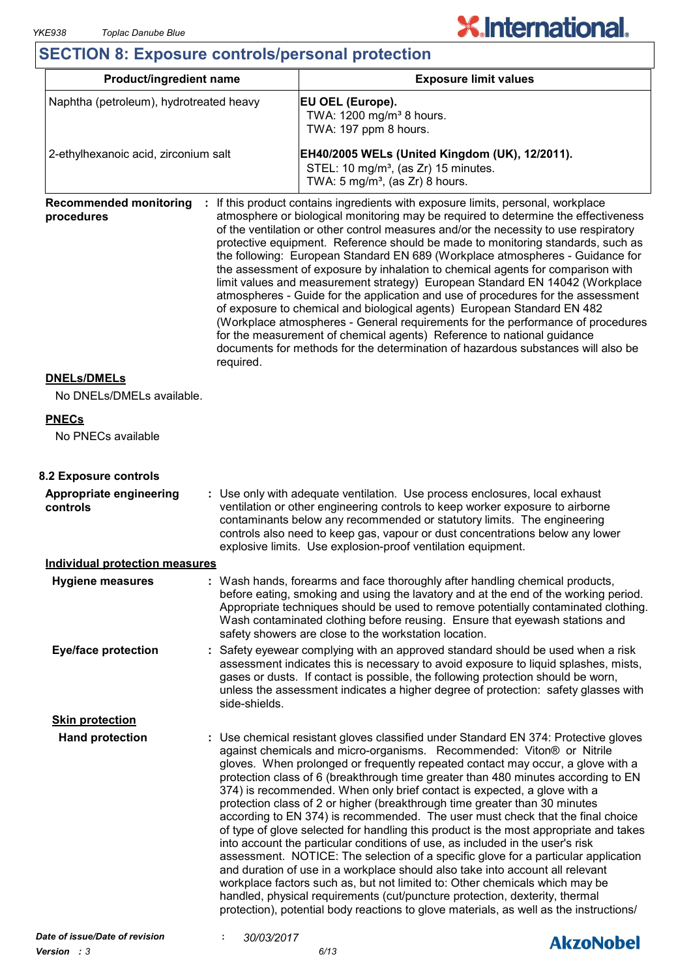# **X.International.**

### **SECTION 8: Exposure controls/personal protection**

| <b>Product/ingredient name</b>                           |                                                                                                                                                                                                                                                                                                                                                                                                 | <b>Exposure limit values</b>                                                                                                                                                                                                                                                                                                                                                                                                                                                                                                                                                                                                                                                                                                                                                                                                                                                                                                                                                                                                                                                                                                                                                              |  |  |
|----------------------------------------------------------|-------------------------------------------------------------------------------------------------------------------------------------------------------------------------------------------------------------------------------------------------------------------------------------------------------------------------------------------------------------------------------------------------|-------------------------------------------------------------------------------------------------------------------------------------------------------------------------------------------------------------------------------------------------------------------------------------------------------------------------------------------------------------------------------------------------------------------------------------------------------------------------------------------------------------------------------------------------------------------------------------------------------------------------------------------------------------------------------------------------------------------------------------------------------------------------------------------------------------------------------------------------------------------------------------------------------------------------------------------------------------------------------------------------------------------------------------------------------------------------------------------------------------------------------------------------------------------------------------------|--|--|
| Naphtha (petroleum), hydrotreated heavy                  |                                                                                                                                                                                                                                                                                                                                                                                                 | EU OEL (Europe).<br>TWA: 1200 mg/m <sup>3</sup> 8 hours.<br>TWA: 197 ppm 8 hours.                                                                                                                                                                                                                                                                                                                                                                                                                                                                                                                                                                                                                                                                                                                                                                                                                                                                                                                                                                                                                                                                                                         |  |  |
| 2-ethylhexanoic acid, zirconium salt                     |                                                                                                                                                                                                                                                                                                                                                                                                 | EH40/2005 WELs (United Kingdom (UK), 12/2011).<br>STEL: 10 mg/m <sup>3</sup> , (as Zr) 15 minutes.<br>TWA: $5 \text{ mg/m}^3$ , (as Zr) 8 hours.                                                                                                                                                                                                                                                                                                                                                                                                                                                                                                                                                                                                                                                                                                                                                                                                                                                                                                                                                                                                                                          |  |  |
| <b>Recommended monitoring</b><br>procedures<br>required. |                                                                                                                                                                                                                                                                                                                                                                                                 | If this product contains ingredients with exposure limits, personal, workplace<br>atmosphere or biological monitoring may be required to determine the effectiveness<br>of the ventilation or other control measures and/or the necessity to use respiratory<br>protective equipment. Reference should be made to monitoring standards, such as<br>the following: European Standard EN 689 (Workplace atmospheres - Guidance for<br>the assessment of exposure by inhalation to chemical agents for comparison with<br>limit values and measurement strategy) European Standard EN 14042 (Workplace<br>atmospheres - Guide for the application and use of procedures for the assessment<br>of exposure to chemical and biological agents) European Standard EN 482<br>(Workplace atmospheres - General requirements for the performance of procedures<br>for the measurement of chemical agents) Reference to national guidance<br>documents for methods for the determination of hazardous substances will also be                                                                                                                                                                       |  |  |
| <b>DNELs/DMELs</b><br>No DNELs/DMELs available.          |                                                                                                                                                                                                                                                                                                                                                                                                 |                                                                                                                                                                                                                                                                                                                                                                                                                                                                                                                                                                                                                                                                                                                                                                                                                                                                                                                                                                                                                                                                                                                                                                                           |  |  |
| <b>PNECs</b>                                             |                                                                                                                                                                                                                                                                                                                                                                                                 |                                                                                                                                                                                                                                                                                                                                                                                                                                                                                                                                                                                                                                                                                                                                                                                                                                                                                                                                                                                                                                                                                                                                                                                           |  |  |
| No PNECs available                                       |                                                                                                                                                                                                                                                                                                                                                                                                 |                                                                                                                                                                                                                                                                                                                                                                                                                                                                                                                                                                                                                                                                                                                                                                                                                                                                                                                                                                                                                                                                                                                                                                                           |  |  |
| 8.2 Exposure controls                                    |                                                                                                                                                                                                                                                                                                                                                                                                 |                                                                                                                                                                                                                                                                                                                                                                                                                                                                                                                                                                                                                                                                                                                                                                                                                                                                                                                                                                                                                                                                                                                                                                                           |  |  |
| <b>Appropriate engineering</b><br>controls               | : Use only with adequate ventilation. Use process enclosures, local exhaust<br>ventilation or other engineering controls to keep worker exposure to airborne<br>contaminants below any recommended or statutory limits. The engineering<br>controls also need to keep gas, vapour or dust concentrations below any lower<br>explosive limits. Use explosion-proof ventilation equipment.        |                                                                                                                                                                                                                                                                                                                                                                                                                                                                                                                                                                                                                                                                                                                                                                                                                                                                                                                                                                                                                                                                                                                                                                                           |  |  |
| <b>Individual protection measures</b>                    |                                                                                                                                                                                                                                                                                                                                                                                                 |                                                                                                                                                                                                                                                                                                                                                                                                                                                                                                                                                                                                                                                                                                                                                                                                                                                                                                                                                                                                                                                                                                                                                                                           |  |  |
| <b>Hygiene measures</b>                                  | Wash hands, forearms and face thoroughly after handling chemical products,<br>before eating, smoking and using the lavatory and at the end of the working period.<br>Appropriate techniques should be used to remove potentially contaminated clothing.<br>Wash contaminated clothing before reusing. Ensure that eyewash stations and<br>safety showers are close to the workstation location. |                                                                                                                                                                                                                                                                                                                                                                                                                                                                                                                                                                                                                                                                                                                                                                                                                                                                                                                                                                                                                                                                                                                                                                                           |  |  |
| <b>Eye/face protection</b>                               | : Safety eyewear complying with an approved standard should be used when a risk<br>assessment indicates this is necessary to avoid exposure to liquid splashes, mists,<br>gases or dusts. If contact is possible, the following protection should be worn,<br>unless the assessment indicates a higher degree of protection: safety glasses with<br>side-shields.                               |                                                                                                                                                                                                                                                                                                                                                                                                                                                                                                                                                                                                                                                                                                                                                                                                                                                                                                                                                                                                                                                                                                                                                                                           |  |  |
| <b>Skin protection</b>                                   |                                                                                                                                                                                                                                                                                                                                                                                                 |                                                                                                                                                                                                                                                                                                                                                                                                                                                                                                                                                                                                                                                                                                                                                                                                                                                                                                                                                                                                                                                                                                                                                                                           |  |  |
| <b>Hand protection</b>                                   |                                                                                                                                                                                                                                                                                                                                                                                                 | : Use chemical resistant gloves classified under Standard EN 374: Protective gloves<br>against chemicals and micro-organisms. Recommended: Viton® or Nitrile<br>gloves. When prolonged or frequently repeated contact may occur, a glove with a<br>protection class of 6 (breakthrough time greater than 480 minutes according to EN<br>374) is recommended. When only brief contact is expected, a glove with a<br>protection class of 2 or higher (breakthrough time greater than 30 minutes<br>according to EN 374) is recommended. The user must check that the final choice<br>of type of glove selected for handling this product is the most appropriate and takes<br>into account the particular conditions of use, as included in the user's risk<br>assessment. NOTICE: The selection of a specific glove for a particular application<br>and duration of use in a workplace should also take into account all relevant<br>workplace factors such as, but not limited to: Other chemicals which may be<br>handled, physical requirements (cut/puncture protection, dexterity, thermal<br>protection), potential body reactions to glove materials, as well as the instructions/ |  |  |

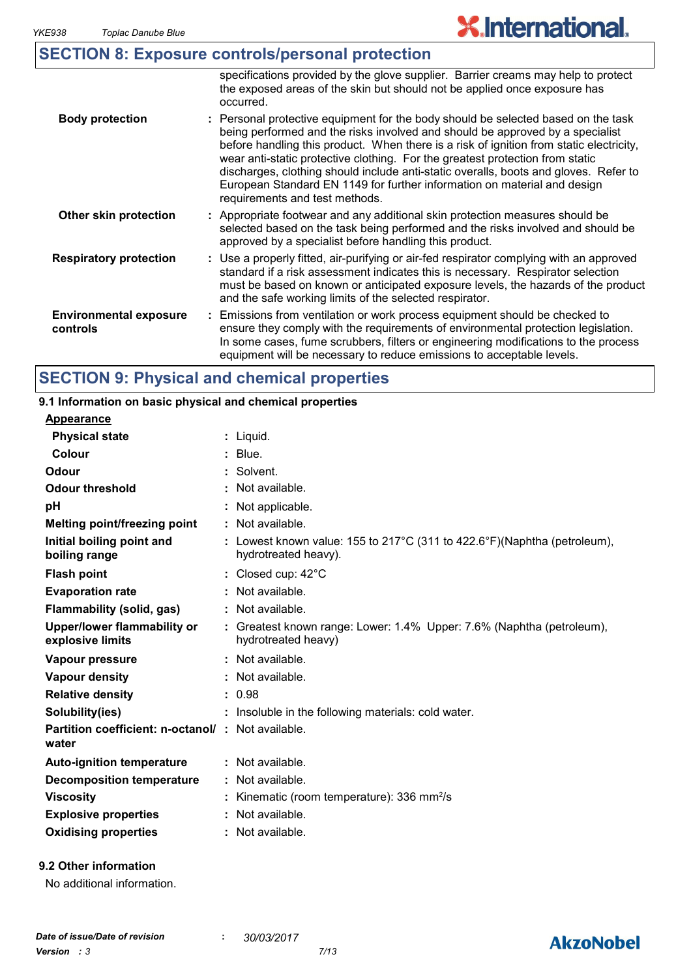|                                           | <b>SECTION 8: Exposure controls/personal protection</b>                                                                                                                                                                                                                                                                                                                                                                                                                                                                                              |
|-------------------------------------------|------------------------------------------------------------------------------------------------------------------------------------------------------------------------------------------------------------------------------------------------------------------------------------------------------------------------------------------------------------------------------------------------------------------------------------------------------------------------------------------------------------------------------------------------------|
|                                           | specifications provided by the glove supplier. Barrier creams may help to protect<br>the exposed areas of the skin but should not be applied once exposure has<br>occurred.                                                                                                                                                                                                                                                                                                                                                                          |
| <b>Body protection</b>                    | : Personal protective equipment for the body should be selected based on the task<br>being performed and the risks involved and should be approved by a specialist<br>before handling this product. When there is a risk of ignition from static electricity,<br>wear anti-static protective clothing. For the greatest protection from static<br>discharges, clothing should include anti-static overalls, boots and gloves. Refer to<br>European Standard EN 1149 for further information on material and design<br>requirements and test methods. |
| Other skin protection                     | : Appropriate footwear and any additional skin protection measures should be<br>selected based on the task being performed and the risks involved and should be<br>approved by a specialist before handling this product.                                                                                                                                                                                                                                                                                                                            |
| <b>Respiratory protection</b>             | : Use a properly fitted, air-purifying or air-fed respirator complying with an approved<br>standard if a risk assessment indicates this is necessary. Respirator selection<br>must be based on known or anticipated exposure levels, the hazards of the product<br>and the safe working limits of the selected respirator.                                                                                                                                                                                                                           |
| <b>Environmental exposure</b><br>controls | : Emissions from ventilation or work process equipment should be checked to<br>ensure they comply with the requirements of environmental protection legislation.<br>In some cases, fume scrubbers, filters or engineering modifications to the process                                                                                                                                                                                                                                                                                               |

### **SECTION 9: Physical and chemical properties**

#### equipment will be necessary to reduce emissions to acceptable levels. Liquid. **: Appearance** Lowest known value: 155 to 217°C (311 to 422.6°F)(Naphtha (petroleum), **:** hydrotreated heavy). **Physical state Melting point/freezing point Initial boiling point and boiling range Vapour pressure Relative density Vapour density Solubility(ies)** Not available. **:** 0.98 **:** Not available. **:** Not available. **: :** Insoluble in the following materials: cold water. **Odour** Solvent. **pH Colour** : Blue. **Evaporation rate Auto-ignition temperature Flash point** Not available. **:** Closed cup: 42°C **:** Greatest known range: Lower: 1.4% Upper: 7.6% (Naphtha (petroleum), **:** hydrotreated heavy) Not available. **: Partition coefficient: n-octanol/ : Not available.** Not applicable. **: Viscosity Kinematic (room temperature): 336 mm<sup>2</sup>/s Odour threshold water Upper/lower flammability or explosive limits Explosive properties** : Not available. **: Oxidising properties :** Not available. **9.1 Information on basic physical and chemical properties Decomposition temperature :** Not available. **Flammability (solid, gas) :** Not available.

#### **9.2 Other information**

No additional information.

### **AkzoNobel**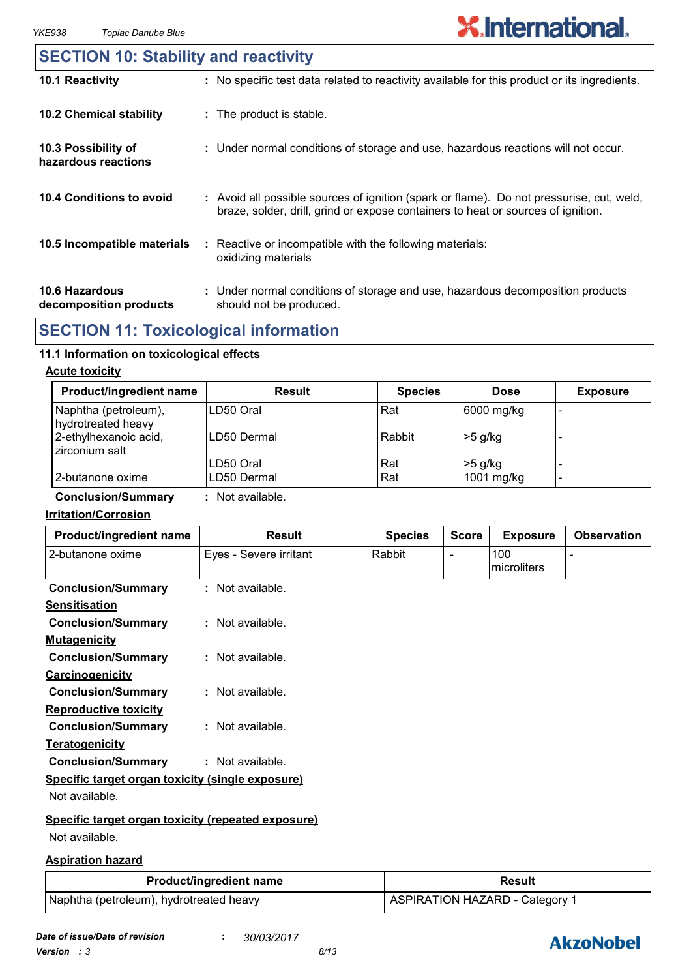#### **10.6 Hazardous decomposition products 10.4 Conditions to avoid** : Avoid all possible sources of ignition (spark or flame). Do not pressurise, cut, weld, braze, solder, drill, grind or expose containers to heat or sources of ignition. Under normal conditions of storage and use, hazardous decomposition products **:** should not be produced. **10.2 Chemical stability** : Reactive or incompatible with the following materials: oxidizing materials **: 10.5 Incompatible materials : 10.3 Possibility of hazardous reactions :** Under normal conditions of storage and use, hazardous reactions will not occur. **SECTION 10: Stability and reactivity 10.1 Reactivity :** No specific test data related to reactivity available for this product or its ingredients.

### **SECTION 11: Toxicological information**

#### **11.1 Information on toxicological effects**

#### **Acute toxicity**

| <b>Product/ingredient name</b>             | Result      | <b>Species</b> | <b>Dose</b> | <b>Exposure</b> |
|--------------------------------------------|-------------|----------------|-------------|-----------------|
| Naphtha (petroleum),<br>hydrotreated heavy | ILD50 Oral  | Rat            | 6000 mg/kg  |                 |
| 2-ethylhexanoic acid,<br>zirconium salt    | LD50 Dermal | Rabbit         | $>5$ g/kg   |                 |
|                                            | LD50 Oral   | Rat            | $>5$ g/kg   |                 |
| 2-butanone oxime                           | LD50 Dermal | Rat            | 1001 mg/kg  | -               |

**Conclusion/Summary :** Not available.

#### **Irritation/Corrosion**

| Product/ingredient name                            | <b>Result</b>          | <b>Species</b> | <b>Score</b>   | <b>Exposure</b>    | <b>Observation</b> |
|----------------------------------------------------|------------------------|----------------|----------------|--------------------|--------------------|
| 2-butanone oxime                                   | Eyes - Severe irritant | Rabbit         | $\blacksquare$ | 100<br>microliters |                    |
| <b>Conclusion/Summary</b>                          | : Not available.       |                |                |                    |                    |
| <b>Sensitisation</b>                               |                        |                |                |                    |                    |
| <b>Conclusion/Summary</b>                          | : Not available.       |                |                |                    |                    |
| <b>Mutagenicity</b>                                |                        |                |                |                    |                    |
| <b>Conclusion/Summary</b>                          | $:$ Not available.     |                |                |                    |                    |
| Carcinogenicity                                    |                        |                |                |                    |                    |
| <b>Conclusion/Summary</b>                          | $:$ Not available.     |                |                |                    |                    |
| <b>Reproductive toxicity</b>                       |                        |                |                |                    |                    |
| <b>Conclusion/Summary</b>                          | : Not available.       |                |                |                    |                    |
| <b>Teratogenicity</b>                              |                        |                |                |                    |                    |
| <b>Conclusion/Summary</b>                          | $:$ Not available.     |                |                |                    |                    |
| Specific target organ toxicity (single exposure)   |                        |                |                |                    |                    |
| Not available.                                     |                        |                |                |                    |                    |
| Specific target organ toxicity (repeated exposure) |                        |                |                |                    |                    |
| Not available.                                     |                        |                |                |                    |                    |

#### **Aspiration hazard**

| <b>Product/ingredient name</b>          | <b>Result</b>                  |  |  |
|-----------------------------------------|--------------------------------|--|--|
| Naphtha (petroleum), hydrotreated heavy | ASPIRATION HAZARD - Category 1 |  |  |

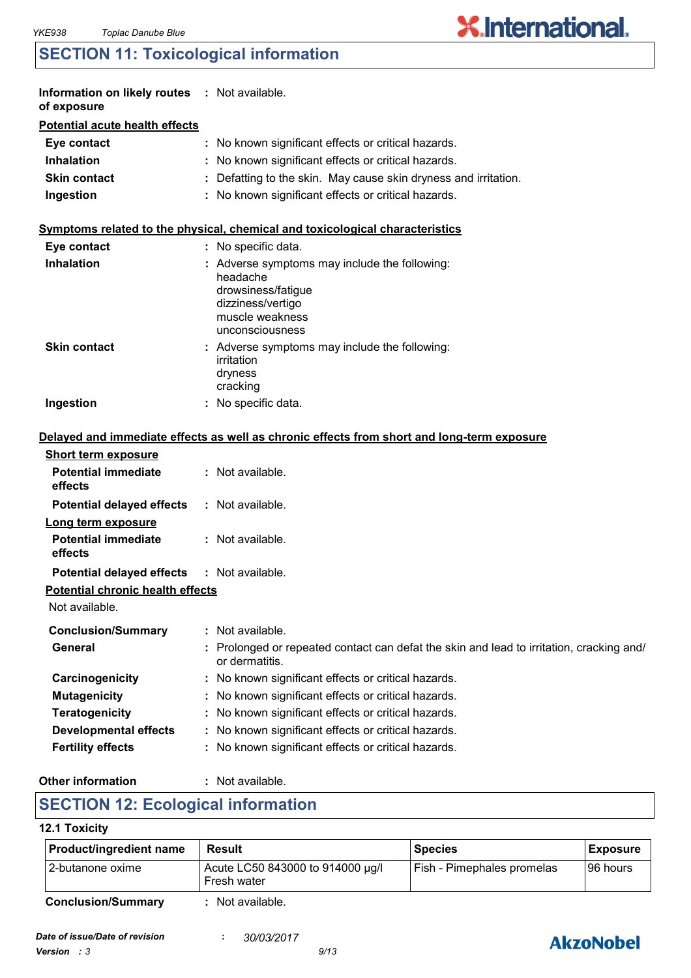### **SECTION 11: Toxicological information**

|                                         | Information on likely routes : Not available.                                                                                              |  |  |  |
|-----------------------------------------|--------------------------------------------------------------------------------------------------------------------------------------------|--|--|--|
| <b>Potential acute health effects</b>   |                                                                                                                                            |  |  |  |
|                                         | No known significant effects or critical hazards.                                                                                          |  |  |  |
|                                         | No known significant effects or critical hazards.                                                                                          |  |  |  |
|                                         | Defatting to the skin. May cause skin dryness and irritation.                                                                              |  |  |  |
|                                         | : No known significant effects or critical hazards.                                                                                        |  |  |  |
|                                         | Symptoms related to the physical, chemical and toxicological characteristics                                                               |  |  |  |
|                                         | : No specific data.                                                                                                                        |  |  |  |
|                                         | : Adverse symptoms may include the following:<br>headache<br>drowsiness/fatigue<br>dizziness/vertigo<br>muscle weakness<br>unconsciousness |  |  |  |
|                                         | : Adverse symptoms may include the following:<br>irritation<br>dryness<br>cracking                                                         |  |  |  |
|                                         | : No specific data.                                                                                                                        |  |  |  |
|                                         | Delayed and immediate effects as well as chronic effects from short and long-term exposure                                                 |  |  |  |
|                                         |                                                                                                                                            |  |  |  |
|                                         | : Not available.                                                                                                                           |  |  |  |
|                                         | : Not available.                                                                                                                           |  |  |  |
|                                         |                                                                                                                                            |  |  |  |
|                                         | : Not available.                                                                                                                           |  |  |  |
|                                         | : Not available.                                                                                                                           |  |  |  |
| <b>Potential chronic health effects</b> |                                                                                                                                            |  |  |  |
|                                         |                                                                                                                                            |  |  |  |
|                                         | : Not available.                                                                                                                           |  |  |  |
|                                         | Prolonged or repeated contact can defat the skin and lead to irritation, cracking and/<br>or dermatitis.                                   |  |  |  |
|                                         | No known significant effects or critical hazards.                                                                                          |  |  |  |
|                                         | No known significant effects or critical hazards.                                                                                          |  |  |  |
|                                         | No known significant effects or critical hazards.                                                                                          |  |  |  |
|                                         | No known significant effects or critical hazards.                                                                                          |  |  |  |
|                                         | No known significant effects or critical hazards.                                                                                          |  |  |  |
|                                         |                                                                                                                                            |  |  |  |

#### **Other information :**

#### : Not available.

### **SECTION 12: Ecological information**

#### **12.1 Toxicity**

| Product/ingredient name   | Result                                          | <b>Species</b>             | <b>Exposure</b> |
|---------------------------|-------------------------------------------------|----------------------------|-----------------|
| 12-butanone oxime         | Acute LC50 843000 to 914000 µg/l<br>Fresh water | Fish - Pimephales promelas | I96 hours       |
| <b>Conclusion/Summary</b> | Not available.                                  |                            |                 |



**X.International.**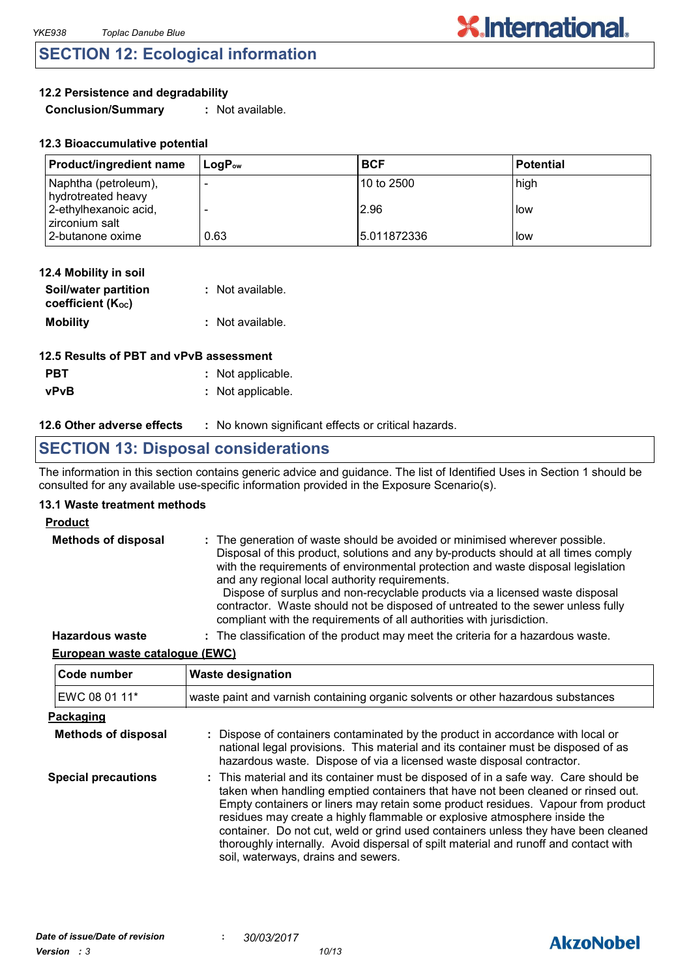### **SECTION 12: Ecological information**

#### **12.2 Persistence and degradability**

**Conclusion/Summary :** Not available.

| <b>Product/ingredient name</b>             | $\mathsf{Loa}\mathsf{P}_\mathsf{ow}$ | <b>BCF</b>   | l Potential |
|--------------------------------------------|--------------------------------------|--------------|-------------|
| Naphtha (petroleum),<br>hydrotreated heavy |                                      | 10 to 2500   | high        |
| 2-ethylhexanoic acid,<br>zirconium salt    |                                      | 2.96         | l low       |
| 2-butanone oxime                           | 0.63                                 | 15.011872336 | l low       |

| 12.4 Mobility in soil                     |                  |
|-------------------------------------------|------------------|
| Soil/water partition<br>coefficient (Koc) | : Not available. |
| <b>Mobility</b>                           | : Not available. |

| 12.5 Results of PBT and vPvB assessment |                   |  |  |
|-----------------------------------------|-------------------|--|--|
| <b>PBT</b>                              | : Not applicable. |  |  |
| <b>vPvB</b>                             | : Not applicable. |  |  |

#### **12.6 Other adverse effects** : No known significant effects or critical hazards.

### **SECTION 13: Disposal considerations**

The information in this section contains generic advice and guidance. The list of Identified Uses in Section 1 should be consulted for any available use-specific information provided in the Exposure Scenario(s).

#### **13.1 Waste treatment methods**

#### **Product**

| <b>Methods of disposal</b> | : The generation of waste should be avoided or minimised wherever possible.<br>Disposal of this product, solutions and any by-products should at all times comply<br>with the requirements of environmental protection and waste disposal legislation<br>and any regional local authority requirements.<br>Dispose of surplus and non-recyclable products via a licensed waste disposal<br>contractor. Waste should not be disposed of untreated to the sewer unless fully<br>compliant with the requirements of all authorities with jurisdiction. |
|----------------------------|-----------------------------------------------------------------------------------------------------------------------------------------------------------------------------------------------------------------------------------------------------------------------------------------------------------------------------------------------------------------------------------------------------------------------------------------------------------------------------------------------------------------------------------------------------|
| <b>Hazardous waste</b>     | : The classification of the product may meet the criteria for a hazardous waste.                                                                                                                                                                                                                                                                                                                                                                                                                                                                    |

#### **European waste catalogue (EWC)**

| Code number                | <b>Waste designation</b>                                                                                                                                                                                                                                                                                                                                                                                                                                                                                                                                      |  |  |
|----------------------------|---------------------------------------------------------------------------------------------------------------------------------------------------------------------------------------------------------------------------------------------------------------------------------------------------------------------------------------------------------------------------------------------------------------------------------------------------------------------------------------------------------------------------------------------------------------|--|--|
| EWC 08 01 11*              | waste paint and varnish containing organic solvents or other hazardous substances                                                                                                                                                                                                                                                                                                                                                                                                                                                                             |  |  |
| Packaging                  |                                                                                                                                                                                                                                                                                                                                                                                                                                                                                                                                                               |  |  |
| <b>Methods of disposal</b> | : Dispose of containers contaminated by the product in accordance with local or<br>national legal provisions. This material and its container must be disposed of as<br>hazardous waste. Dispose of via a licensed waste disposal contractor.                                                                                                                                                                                                                                                                                                                 |  |  |
| <b>Special precautions</b> | : This material and its container must be disposed of in a safe way. Care should be<br>taken when handling emptied containers that have not been cleaned or rinsed out.<br>Empty containers or liners may retain some product residues. Vapour from product<br>residues may create a highly flammable or explosive atmosphere inside the<br>container. Do not cut, weld or grind used containers unless they have been cleaned<br>thoroughly internally. Avoid dispersal of spilt material and runoff and contact with<br>soil, waterways, drains and sewers. |  |  |

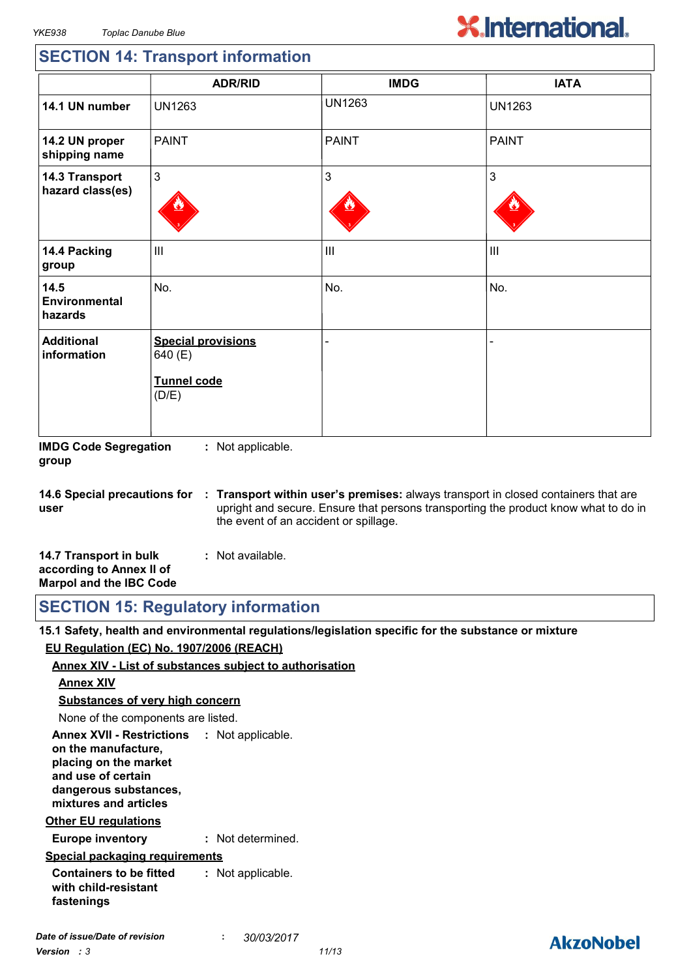## **X.International.**

### **SECTION 14: Transport information**

|                                    | <b>ADR/RID</b>                                                      | <b>IMDG</b>   | <b>IATA</b>    |
|------------------------------------|---------------------------------------------------------------------|---------------|----------------|
| 14.1 UN number                     | <b>UN1263</b>                                                       | <b>UN1263</b> | <b>UN1263</b>  |
| 14.2 UN proper<br>shipping name    | <b>PAINT</b>                                                        | <b>PAINT</b>  | <b>PAINT</b>   |
| 14.3 Transport<br>hazard class(es) | 3                                                                   | 3             | 3              |
| 14.4 Packing<br>group              | $\mathbf{III}$                                                      | III           | $\mathbf{III}$ |
| 14.5<br>Environmental<br>hazards   | No.                                                                 | No.           | No.            |
| <b>Additional</b><br>information   | <b>Special provisions</b><br>640 (E)<br><b>Tunnel code</b><br>(D/E) |               |                |

**IMDG Code Segregation group :** Not applicable.

**14.6 Special precautions for user Transport within user's premises:** always transport in closed containers that are **:** upright and secure. Ensure that persons transporting the product know what to do in the event of an accident or spillage.

| 14.7 Transport in bulk         | : Not available. |  |
|--------------------------------|------------------|--|
| according to Annex II of       |                  |  |
| <b>Marpol and the IBC Code</b> |                  |  |

**SECTION 15: Regulatory information**

**15.1 Safety, health and environmental regulations/legislation specific for the substance or mixture EU Regulation (EC) No. 1907/2006 (REACH)**

#### **Annex XIV - List of substances subject to authorisation**

#### **Annex XIV**

**Substances of very high concern**

None of the components are listed.

**Annex XVII - Restrictions : Not applicable. on the manufacture, placing on the market and use of certain dangerous substances, mixtures and articles**

#### **Other EU regulations**

**Europe inventory :** Not determined.

#### **Special packaging requirements**

**Containers to be fitted with child-resistant fastenings :** Not applicable.

### **AkzoNobel**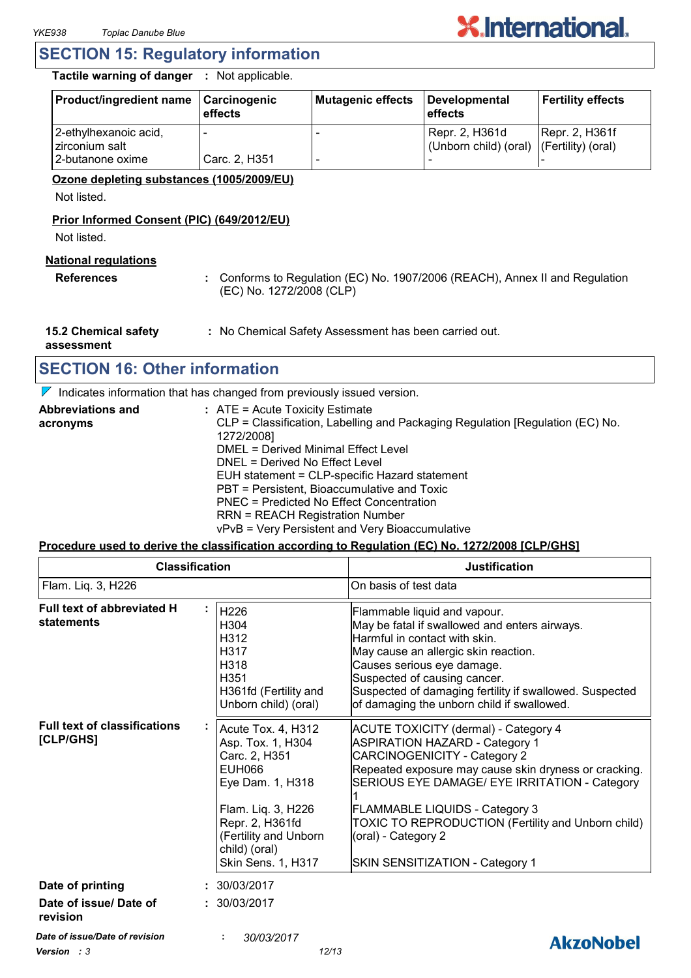

#### **SECTION 15: Regulatory information**

**Tactile warning of danger :** Not applicable.

| <b>Product/ingredient name</b>          | <b>Carcinogenic</b><br>effects | Mutagenic effects | Developmental<br>l effects                                 | <b>Fertility effects</b> |
|-----------------------------------------|--------------------------------|-------------------|------------------------------------------------------------|--------------------------|
| 2-ethylhexanoic acid,<br>zirconium salt |                                |                   | Repr. 2, H361d<br>(Unborn child) (oral) (Fertility) (oral) | Repr. 2, H361f           |
| 2-butanone oxime                        | Carc. 2, H351                  |                   |                                                            |                          |

#### **Ozone depleting substances (1005/2009/EU)**

Not listed.

#### **Prior Informed Consent (PIC) (649/2012/EU)**

Not listed.

#### **National regulations**

**References :** Conforms to Regulation (EC) No. 1907/2006 (REACH), Annex II and Regulation (EC) No. 1272/2008 (CLP)

**15.2 Chemical safety :** No Chemical Safety Assessment has been carried out.

**assessment**

### **SECTION 16: Other information**

 $\nabla$  Indicates information that has changed from previously issued version.

| <b>Abbreviations and</b> | $:$ ATE = Acute Toxicity Estimate                                             |
|--------------------------|-------------------------------------------------------------------------------|
| acronyms                 | CLP = Classification, Labelling and Packaging Regulation [Regulation (EC) No. |
|                          | 1272/2008]                                                                    |
|                          | DMEL = Derived Minimal Effect Level                                           |
|                          | DNEL = Derived No Effect Level                                                |
|                          | EUH statement = CLP-specific Hazard statement                                 |
|                          | PBT = Persistent, Bioaccumulative and Toxic                                   |
|                          | PNEC = Predicted No Effect Concentration                                      |
|                          | <b>RRN = REACH Registration Number</b>                                        |
|                          | vPvB = Very Persistent and Very Bioaccumulative                               |

#### **Procedure used to derive the classification according to Regulation (EC) No. 1272/2008 [CLP/GHS]**

| Flam. Liq. 3, H226<br>On basis of test data<br>Full text of abbreviated H<br>H226<br>Flammable liquid and vapour.<br>statements<br>H304<br>May be fatal if swallowed and enters airways.<br>Harmful in contact with skin.<br>H312<br>H317<br>May cause an allergic skin reaction.<br>H318<br>Causes serious eye damage.<br>H351<br>Suspected of causing cancer.<br>H361fd (Fertility and<br>of damaging the unborn child if swallowed.<br>Unborn child) (oral)<br><b>Full text of classifications</b><br>Acute Tox. 4, H312<br><b>ACUTE TOXICITY (dermal) - Category 4</b><br>[CLP/GHS]<br>Asp. Tox. 1, H304<br><b>ASPIRATION HAZARD - Category 1</b><br><b>CARCINOGENICITY - Category 2</b><br>Carc. 2, H351<br><b>EUH066</b><br>Eye Dam. 1, H318<br>Flam. Liq. 3, H226<br><b>FLAMMABLE LIQUIDS - Category 3</b><br>Repr. 2, H361fd<br>(Fertility and Unborn<br>(oral) - Category 2<br>child) (oral)<br>SKIN SENSITIZATION - Category 1<br>Skin Sens. 1, H317<br>Date of printing<br>: 30/03/2017<br>Date of issue/ Date of<br>: 30/03/2017<br>revision | <b>Classification</b> |  | <b>Justification</b>                                                                                                                                         |  |
|----------------------------------------------------------------------------------------------------------------------------------------------------------------------------------------------------------------------------------------------------------------------------------------------------------------------------------------------------------------------------------------------------------------------------------------------------------------------------------------------------------------------------------------------------------------------------------------------------------------------------------------------------------------------------------------------------------------------------------------------------------------------------------------------------------------------------------------------------------------------------------------------------------------------------------------------------------------------------------------------------------------------------------------------------------|-----------------------|--|--------------------------------------------------------------------------------------------------------------------------------------------------------------|--|
|                                                                                                                                                                                                                                                                                                                                                                                                                                                                                                                                                                                                                                                                                                                                                                                                                                                                                                                                                                                                                                                          |                       |  |                                                                                                                                                              |  |
|                                                                                                                                                                                                                                                                                                                                                                                                                                                                                                                                                                                                                                                                                                                                                                                                                                                                                                                                                                                                                                                          |                       |  | Suspected of damaging fertility if swallowed. Suspected                                                                                                      |  |
|                                                                                                                                                                                                                                                                                                                                                                                                                                                                                                                                                                                                                                                                                                                                                                                                                                                                                                                                                                                                                                                          |                       |  | Repeated exposure may cause skin dryness or cracking.<br>SERIOUS EYE DAMAGE/ EYE IRRITATION - Category<br>TOXIC TO REPRODUCTION (Fertility and Unborn child) |  |
|                                                                                                                                                                                                                                                                                                                                                                                                                                                                                                                                                                                                                                                                                                                                                                                                                                                                                                                                                                                                                                                          |                       |  |                                                                                                                                                              |  |
|                                                                                                                                                                                                                                                                                                                                                                                                                                                                                                                                                                                                                                                                                                                                                                                                                                                                                                                                                                                                                                                          |                       |  |                                                                                                                                                              |  |
| Date of issue/Date of revision<br>30/03/2017                                                                                                                                                                                                                                                                                                                                                                                                                                                                                                                                                                                                                                                                                                                                                                                                                                                                                                                                                                                                             |                       |  | AkzoNobel                                                                                                                                                    |  |